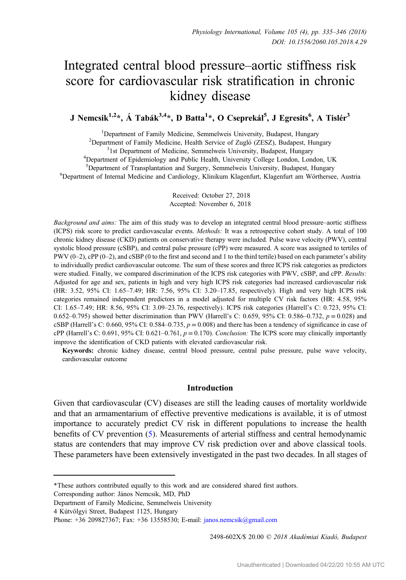# Integrated central blood pressure–aortic stiffness risk score for cardiovascular risk stratification in chronic kidney disease

# J Nemcsik $^{1,2}$ \*, Á Tabák $^{3,4}$ \*, D Batta $^{1}$ \*, O Cseprekál $^{5}$ , J Egresits $^{6}$ , A Tislér $^{3}$

<sup>1</sup>Department of Family Medicine, Semmelweis University, Budapest, Hungary <sup>1</sup>Department of Family Medicine, Semmelweis University, Budapest, Hungary<br><sup>2</sup>Department of Family Medicine, Health Service of Zugló (ZESZ), Budapest, Hungary

Department of Family Medicine, Health Service of Zugló (ZESZ), Budapest, Hungary<br><sup>31</sup>1st Department of Medicine, Semmelweis University, Budapest, Hungary

<sup>3</sup>1st Department of Medicine, Semmelweis University, Budapest, Hungary

<sup>4</sup>Department of Epidemiology and Public Health, University College London, London, UK

<sup>5</sup>Department of Transplantation and Surgery, Semmelweis University, Budapest, Hungary

<sup>5</sup>Department of Transplantation and Surgery, Semmelweis University, Budapest, Hungary<br><sup>6</sup>Department of Internal Medicine and Cardiology, Klinikum Klagenfurt, Klagenfurt am Wörthersee, Austria<sup>6</sup>

Received: October 27, 2018 Accepted: November 6, 2018

Background and aims: The aim of this study was to develop an integrated central blood pressure–aortic stiffness (ICPS) risk score to predict cardiovascular events. Methods: It was a retrospective cohort study. A total of 100 chronic kidney disease (CKD) patients on conservative therapy were included. Pulse wave velocity (PWV), central systolic blood pressure (cSBP), and central pulse pressure (cPP) were measured. A score was assigned to tertiles of PWV (0–2), cPP (0–2), and cSBP (0 to the first and second and 1 to the third tertile) based on each parameter's ability to individually predict cardiovascular outcome. The sum of these scores and three ICPS risk categories as predictors were studied. Finally, we compared discrimination of the ICPS risk categories with PWV, cSBP, and cPP. Results: Adjusted for age and sex, patients in high and very high ICPS risk categories had increased cardiovascular risk (HR: 3.52, 95% CI: 1.65–7.49; HR: 7.56, 95% CI: 3.20–17.85, respectively). High and very high ICPS risk categories remained independent predictors in a model adjusted for multiple CV risk factors (HR: 4.58, 95% CI: 1.65–7.49; HR: 8.56, 95% CI: 3.09–23.76, respectively). ICPS risk categories (Harrell's C: 0.723, 95% CI: 0.652–0.795) showed better discrimination than PWV (Harrell's C: 0.659, 95% CI: 0.586–0.732,  $p = 0.028$ ) and cSBP (Harrell's C: 0.660, 95% CI: 0.584–0.735,  $p = 0.008$ ) and there has been a tendency of significance in case of cPP (Harrell's C: 0.691, 95% CI: 0.621–0.761,  $p = 0.170$ ). Conclusion: The ICPS score may clinically importantly improve the identification of CKD patients with elevated cardiovascular risk.

Keywords: chronic kidney disease, central blood pressure, central pulse pressure, pulse wave velocity, cardiovascular outcome

### Introduction

Given that cardiovascular (CV) diseases are still the leading causes of mortality worldwide and that an armamentarium of effective preventive medications is available, it is of utmost importance to accurately predict CV risk in different populations to increase the health benefits of CV prevention ([5\)](#page-11-0). Measurements of arterial stiffness and central hemodynamic status are contenders that may improve CV risk prediction over and above classical tools. These parameters have been extensively investigated in the past two decades. In all stages of

Corresponding author: János Nemcsik, MD, PhD

4 Kútvölgyi Street, Budapest 1125, Hungary

2498-602X/\$ 20.00 © 2018 Akadémiai Kiadó, Budapest

<sup>\*</sup>These authors contributed equally to this work and are considered shared first authors.

Department of Family Medicine, Semmelweis University

Phone: +36 209827367; Fax: +36 13558530; E-mail: [janos.nemcsik@gmail.com](mailto:janos.nemcsik@gmail.com)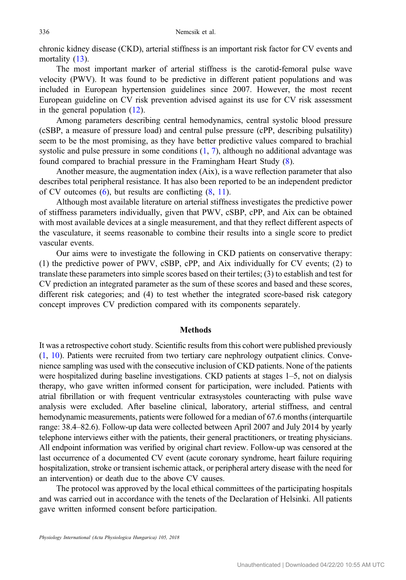chronic kidney disease (CKD), arterial stiffness is an important risk factor for CV events and mortality ([13\)](#page-11-0).

The most important marker of arterial stiffness is the carotid-femoral pulse wave velocity (PWV). It was found to be predictive in different patient populations and was included in European hypertension guidelines since 2007. However, the most recent European guideline on CV risk prevention advised against its use for CV risk assessment in the general population ([12\)](#page-11-0).

Among parameters describing central hemodynamics, central systolic blood pressure (cSBP, a measure of pressure load) and central pulse pressure (cPP, describing pulsatility) seem to be the most promising, as they have better predictive values compared to brachial systolic and pulse pressure in some conditions  $(1, 7)$  $(1, 7)$  $(1, 7)$  $(1, 7)$ , although no additional advantage was found compared to brachial pressure in the Framingham Heart Study ([8\)](#page-11-0).

Another measure, the augmentation index (Aix), is a wave reflection parameter that also describes total peripheral resistance. It has also been reported to be an independent predictor of CV outcomes  $(6)$  $(6)$ , but results are conflicting  $(8, 11)$  $(8, 11)$  $(8, 11)$  $(8, 11)$ .

Although most available literature on arterial stiffness investigates the predictive power of stiffness parameters individually, given that PWV, cSBP, cPP, and Aix can be obtained with most available devices at a single measurement, and that they reflect different aspects of the vasculature, it seems reasonable to combine their results into a single score to predict vascular events.

Our aims were to investigate the following in CKD patients on conservative therapy: (1) the predictive power of PWV, cSBP, cPP, and Aix individually for CV events; (2) to translate these parameters into simple scores based on their tertiles; (3) to establish and test for CV prediction an integrated parameter as the sum of these scores and based and these scores, different risk categories; and (4) to test whether the integrated score-based risk category concept improves CV prediction compared with its components separately.

#### Methods

It was a retrospective cohort study. Scientific results from this cohort were published previously [\(1](#page-10-0), [10\)](#page-11-0). Patients were recruited from two tertiary care nephrology outpatient clinics. Convenience sampling was used with the consecutive inclusion of CKD patients. None of the patients were hospitalized during baseline investigations. CKD patients at stages 1–5, not on dialysis therapy, who gave written informed consent for participation, were included. Patients with atrial fibrillation or with frequent ventricular extrasystoles counteracting with pulse wave analysis were excluded. After baseline clinical, laboratory, arterial stiffness, and central hemodynamic measurements, patients were followed for a median of 67.6 months (interquartile range: 38.4–82.6). Follow-up data were collected between April 2007 and July 2014 by yearly telephone interviews either with the patients, their general practitioners, or treating physicians. All endpoint information was verified by original chart review. Follow-up was censored at the last occurrence of a documented CV event (acute coronary syndrome, heart failure requiring hospitalization, stroke or transient ischemic attack, or peripheral artery disease with the need for an intervention) or death due to the above CV causes.

The protocol was approved by the local ethical committees of the participating hospitals and was carried out in accordance with the tenets of the Declaration of Helsinki. All patients gave written informed consent before participation.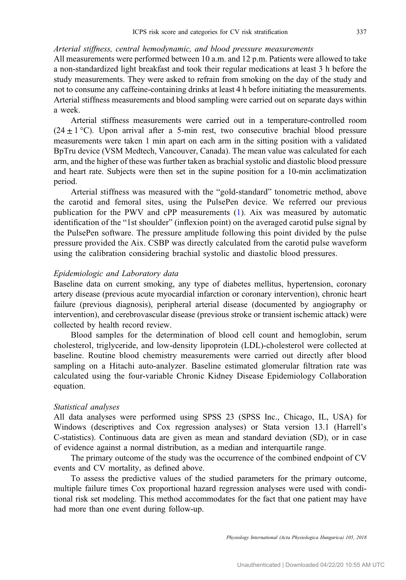# Arterial stiffness, central hemodynamic, and blood pressure measurements

All measurements were performed between 10 a.m. and 12 p.m. Patients were allowed to take a non-standardized light breakfast and took their regular medications at least 3 h before the study measurements. They were asked to refrain from smoking on the day of the study and not to consume any caffeine-containing drinks at least 4 h before initiating the measurements. Arterial stiffness measurements and blood sampling were carried out on separate days within a week.

Arterial stiffness measurements were carried out in a temperature-controlled room  $(24 \pm 1 \degree C)$ . Upon arrival after a 5-min rest, two consecutive brachial blood pressure measurements were taken 1 min apart on each arm in the sitting position with a validated BpTru device (VSM Medtech, Vancouver, Canada). The mean value was calculated for each arm, and the higher of these was further taken as brachial systolic and diastolic blood pressure and heart rate. Subjects were then set in the supine position for a 10-min acclimatization period.

Arterial stiffness was measured with the "gold-standard" tonometric method, above the carotid and femoral sites, using the PulsePen device. We referred our previous publication for the PWV and cPP measurements [\(1\)](#page-10-0). Aix was measured by automatic identification of the "1st shoulder" (inflexion point) on the averaged carotid pulse signal by the PulsePen software. The pressure amplitude following this point divided by the pulse pressure provided the Aix. CSBP was directly calculated from the carotid pulse waveform using the calibration considering brachial systolic and diastolic blood pressures.

#### Epidemiologic and Laboratory data

Baseline data on current smoking, any type of diabetes mellitus, hypertension, coronary artery disease (previous acute myocardial infarction or coronary intervention), chronic heart failure (previous diagnosis), peripheral arterial disease (documented by angiography or intervention), and cerebrovascular disease (previous stroke or transient ischemic attack) were collected by health record review.

Blood samples for the determination of blood cell count and hemoglobin, serum cholesterol, triglyceride, and low-density lipoprotein (LDL)-cholesterol were collected at baseline. Routine blood chemistry measurements were carried out directly after blood sampling on a Hitachi auto-analyzer. Baseline estimated glomerular filtration rate was calculated using the four-variable Chronic Kidney Disease Epidemiology Collaboration equation.

# Statistical analyses

All data analyses were performed using SPSS 23 (SPSS Inc., Chicago, IL, USA) for Windows (descriptives and Cox regression analyses) or Stata version 13.1 (Harrell's C-statistics). Continuous data are given as mean and standard deviation (SD), or in case of evidence against a normal distribution, as a median and interquartile range.

The primary outcome of the study was the occurrence of the combined endpoint of CV events and CV mortality, as defined above.

To assess the predictive values of the studied parameters for the primary outcome, multiple failure times Cox proportional hazard regression analyses were used with conditional risk set modeling. This method accommodates for the fact that one patient may have had more than one event during follow-up.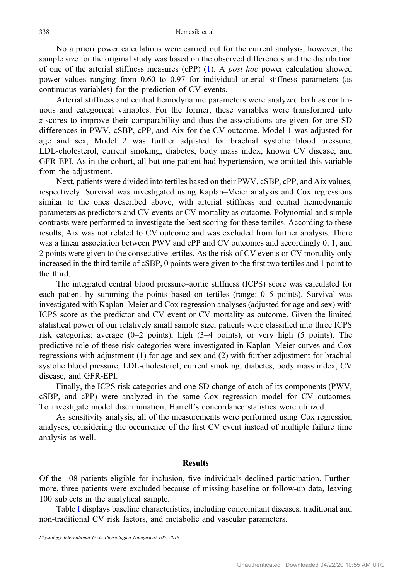No a priori power calculations were carried out for the current analysis; however, the sample size for the original study was based on the observed differences and the distribution of one of the arterial stiffness measures (cPP) [\(1](#page-10-0)). A post hoc power calculation showed power values ranging from 0.60 to 0.97 for individual arterial stiffness parameters (as continuous variables) for the prediction of CV events.

Arterial stiffness and central hemodynamic parameters were analyzed both as continuous and categorical variables. For the former, these variables were transformed into z-scores to improve their comparability and thus the associations are given for one SD differences in PWV, cSBP, cPP, and Aix for the CV outcome. Model 1 was adjusted for age and sex, Model 2 was further adjusted for brachial systolic blood pressure, LDL-cholesterol, current smoking, diabetes, body mass index, known CV disease, and GFR-EPI. As in the cohort, all but one patient had hypertension, we omitted this variable from the adjustment.

Next, patients were divided into tertiles based on their PWV, cSBP, cPP, and Aix values, respectively. Survival was investigated using Kaplan–Meier analysis and Cox regressions similar to the ones described above, with arterial stiffness and central hemodynamic parameters as predictors and CV events or CV mortality as outcome. Polynomial and simple contrasts were performed to investigate the best scoring for these tertiles. According to these results, Aix was not related to CV outcome and was excluded from further analysis. There was a linear association between PWV and cPP and CV outcomes and accordingly 0, 1, and 2 points were given to the consecutive tertiles. As the risk of CV events or CV mortality only increased in the third tertile of cSBP, 0 points were given to the first two tertiles and 1 point to the third.

The integrated central blood pressure–aortic stiffness (ICPS) score was calculated for each patient by summing the points based on tertiles (range: 0–5 points). Survival was investigated with Kaplan–Meier and Cox regression analyses (adjusted for age and sex) with ICPS score as the predictor and CV event or CV mortality as outcome. Given the limited statistical power of our relatively small sample size, patients were classified into three ICPS risk categories: average (0–2 points), high (3–4 points), or very high (5 points). The predictive role of these risk categories were investigated in Kaplan–Meier curves and Cox regressions with adjustment (1) for age and sex and (2) with further adjustment for brachial systolic blood pressure, LDL-cholesterol, current smoking, diabetes, body mass index, CV disease, and GFR-EPI.

Finally, the ICPS risk categories and one SD change of each of its components (PWV, cSBP, and cPP) were analyzed in the same Cox regression model for CV outcomes. To investigate model discrimination, Harrell's concordance statistics were utilized.

As sensitivity analysis, all of the measurements were performed using Cox regression analyses, considering the occurrence of the first CV event instead of multiple failure time analysis as well.

# Results

Of the 108 patients eligible for inclusion, five individuals declined participation. Furthermore, three patients were excluded because of missing baseline or follow-up data, leaving 100 subjects in the analytical sample.

Table [I](#page-4-0) displays baseline characteristics, including concomitant diseases, traditional and non-traditional CV risk factors, and metabolic and vascular parameters.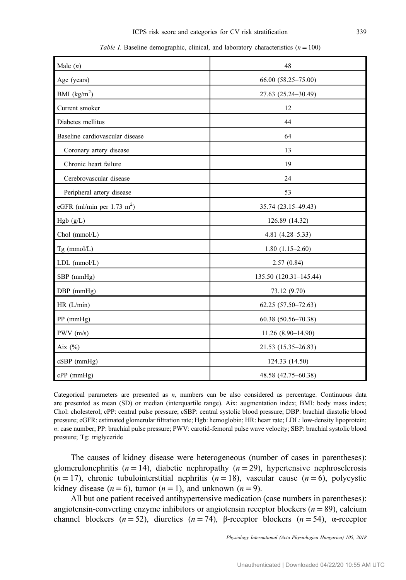<span id="page-4-0"></span>

| Male $(n)$                            | 48                     |
|---------------------------------------|------------------------|
| Age (years)                           | 66.00 (58.25-75.00)    |
| BMI $(kg/m2)$                         | 27.63 (25.24-30.49)    |
| Current smoker                        | 12                     |
| Diabetes mellitus                     | 44                     |
| Baseline cardiovascular disease       | 64                     |
| Coronary artery disease               | 13                     |
| Chronic heart failure                 | 19                     |
| Cerebrovascular disease               | 24                     |
| Peripheral artery disease             | 53                     |
| eGFR (ml/min per $1.73 \text{ m}^2$ ) | 35.74 (23.15-49.43)    |
| Hgb (g/L)                             | 126.89 (14.32)         |
| Chol (mmol/L)                         | $4.81(4.28 - 5.33)$    |
| $Tg$ (mmol/L)                         | $1.80(1.15-2.60)$      |
| LDL (mmol/L)                          | 2.57(0.84)             |
| SBP (mmHg)                            | 135.50 (120.31-145.44) |
| $DBP$ (mmHg)                          | 73.12 (9.70)           |
| HR (L/min)                            | 62.25 (57.50–72.63)    |
| PP (mmHg)                             | 60.38 (50.56-70.38)    |
| PWV (m/s)                             | 11.26 (8.90–14.90)     |
| Aix $(\%)$                            | 21.53 (15.35–26.83)    |
| $cSBP$ (mmHg)                         | 124.33 (14.50)         |
| cPP (mmHg)                            | 48.58 (42.75-60.38)    |

Table I. Baseline demographic, clinical, and laboratory characteristics  $(n = 100)$ 

Categorical parameters are presented as n, numbers can be also considered as percentage. Continuous data are presented as mean (SD) or median (interquartile range). Aix: augmentation index; BMI: body mass index; Chol: cholesterol; cPP: central pulse pressure; cSBP: central systolic blood pressure; DBP: brachial diastolic blood pressure; eGFR: estimated glomerular filtration rate; Hgb: hemoglobin; HR: heart rate; LDL: low-density lipoprotein; n: case number; PP: brachial pulse pressure; PWV: carotid-femoral pulse wave velocity; SBP: brachial systolic blood pressure; Tg: triglyceride

The causes of kidney disease were heterogeneous (number of cases in parentheses): glomerulonephritis ( $n = 14$ ), diabetic nephropathy ( $n = 29$ ), hypertensive nephrosclerosis  $(n = 17)$ , chronic tubulointerstitial nephritis  $(n = 18)$ , vascular cause  $(n = 6)$ , polycystic kidney disease ( $n = 6$ ), tumor ( $n = 1$ ), and unknown ( $n = 9$ ).

All but one patient received antihypertensive medication (case numbers in parentheses): angiotensin-converting enzyme inhibitors or angiotensin receptor blockers ( $n = 89$ ), calcium channel blockers ( $n = 52$ ), diuretics ( $n = 74$ ), β-receptor blockers ( $n = 54$ ), α-receptor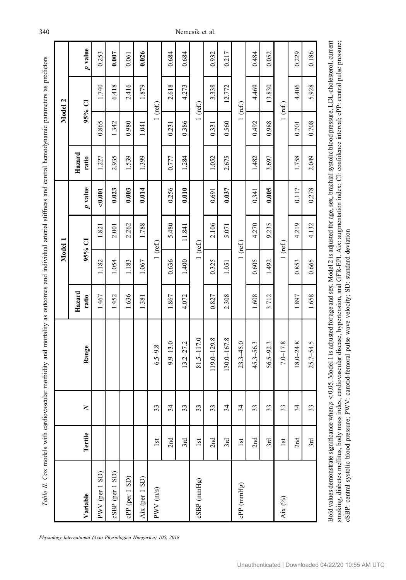|                 |              |        |                 |                 | Model 1                  |        |         |                 | Model      | N      |         |
|-----------------|--------------|--------|-----------------|-----------------|--------------------------|--------|---------|-----------------|------------|--------|---------|
| Variable        | Tertile      | $\geq$ | Range           | Hazard<br>ratio | $95%$ CI                 |        | p value | Hazard<br>ratio | $95%$ CI   |        | p value |
| PWV (per 1 SD)  |              |        |                 | 1.467           | 1.182                    | 1.821  | $0.001$ | 1.227           | 0.865      | 1.740  | 0.253   |
| cSBP (per 1 SD) |              |        |                 | 1.452           | 1.054                    | 2.001  | 0.023   | 2.935           | 1.342      | 6.418  | 0.007   |
| cPP (per 1 SD)  |              |        |                 | 1.636           | 1.183                    | 2.262  | 0.003   | 1.539           | 0.980      | 2.416  | 0.061   |
| Aix (per 1 SD)  |              |        |                 | 1.381           | 1.067                    | 1.788  | 0.014   | 1.399           | 1.041      | 1.879  | 0.026   |
| $PWV$ (m/s)     | 1st          | 33     | $6.5 - 9.8$     |                 | $\overline{\phantom{0}}$ | (ref.) |         |                 | $1$ (ref.) |        |         |
|                 | 2nd          | 34     | $9.9 - 13.0$    | 1.867           | 0.636                    | 5.480  | 0.256   | 0.777           | 0.231      | 2.618  | 0.684   |
|                 | $_{\rm 3rd}$ | 33     | $13.2 - 27.2$   | 4.072           | 1.400                    | 11.841 | 0.010   | 1.284           | 0.386      | 4.273  | 0.684   |
| cSBP (mmHg)     | 1st          | 33     | $81.5 - 117.0$  |                 | $1$ (ref.)               |        |         |                 | $1$ (ref.) |        |         |
|                 | 2nd          | 33     | 119.0-129.8     | 0.827           | 0.325                    | 2.106  | 0.691   | 1.052           | 0.331      | 3.338  | 0.932   |
|                 | 3rd          | 34     | $130.0 - 167.8$ | 2.308           | 1.051                    | 5.071  | 0.037   | 2.675           | 0.560      | 12.772 | 0.217   |
| cPP (mmHg)      | lst          | 34     | $23.3 - 45.0$   |                 |                          | (ref.) |         |                 | $1$ (ref.) |        |         |
|                 | 2nd          | 33     | $45.3 - 56.3$   | 1.608           | 0.605                    | 4.270  | 0.341   | 1.482           | 0.492      | 4.469  | 0.484   |
|                 | 3rd          | 33     | $56.5 - 92.3$   | 3.712           | 1.492                    | 9.235  | 0.005   | 3.697           | 0.988      | 13.830 | 0.052   |
| Aix $(^{96})$   | 1st          | 33     | $7.0 - 17.8$    |                 |                          | (ref.) |         |                 | $1$ (ref.) |        |         |
|                 | 2nd          | 34     | $8.0 - 24.8$    | 1.897           | 0.853                    | 4.219  | 0.117   | 1.758           | 0.701      | 4.406  | 0.229   |
|                 | 3rd          | 33     | $25.7 - 54.5$   | 1.658           | 0.665                    | 4.132  | 0.278   | 2.049           | 0.708      | 5.928  | 0.186   |
|                 |              |        |                 |                 |                          |        |         |                 |            |        |         |

Physiology International (Acta Physiologica Hungarica) 105, 2018

<span id="page-5-0"></span>340 Nemcsik et al.

Bold values demonstrate significance when

p <

cSBP: central systolic blood pressure; PWV: carotid-femoral pulse wave velocity; SD: standard deviation

cSBP: central systolic blood pressure; PWV: carotid-femoral pulse wave velocity; SD: standard deviation

0.05. Model 1 is adjusted for age and sex. Model 2 is adjusted for age, sex, brachial systolic blood pressure, LDL-cholesterol, current

smoking, diabetes mellitus, body mass index, cardiovascular disease, hypertension, and GFR-EPI. Aix: augmentation index; CI: confidence interval; cPP: central pulse pressure;

smoking, diabetes mellitus, body mass index, cardiovascular disease, hypertension, and GFR-EPI. Aix: augmentation index; CI: confidence interval; cPP: central pulse pressure;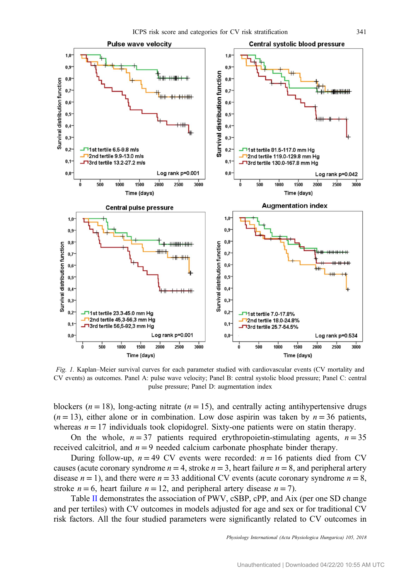<span id="page-6-0"></span>

Fig. 1. Kaplan–Meier survival curves for each parameter studied with cardiovascular events (CV mortality and CV events) as outcomes. Panel A: pulse wave velocity; Panel B: central systolic blood pressure; Panel C: central pulse pressure; Panel D: augmentation index

blockers ( $n = 18$ ), long-acting nitrate ( $n = 15$ ), and centrally acting antihypertensive drugs  $(n = 13)$ , either alone or in combination. Low dose aspirin was taken by  $n = 36$  patients, whereas  $n = 17$  individuals took clopidogrel. Sixty-one patients were on statin therapy.

On the whole,  $n = 37$  patients required erythropoietin-stimulating agents,  $n = 35$ received calcitriol, and  $n = 9$  needed calcium carbonate phosphate binder therapy.

During follow-up,  $n = 49$  CV events were recorded:  $n = 16$  patients died from CV causes (acute coronary syndrome  $n = 4$ , stroke  $n = 3$ , heart failure  $n = 8$ , and peripheral artery disease  $n = 1$ ), and there were  $n = 33$  additional CV events (acute coronary syndrome  $n = 8$ , stroke  $n = 6$ , heart failure  $n = 12$ , and peripheral artery disease  $n = 7$ ).

Table [II](#page-5-0) demonstrates the association of PWV, cSBP, cPP, and Aix (per one SD change and per tertiles) with CV outcomes in models adjusted for age and sex or for traditional CV risk factors. All the four studied parameters were significantly related to CV outcomes in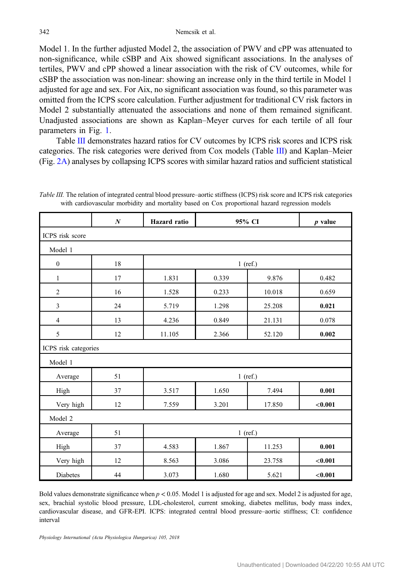<span id="page-7-0"></span>Model 1. In the further adjusted Model 2, the association of PWV and cPP was attenuated to non-significance, while cSBP and Aix showed significant associations. In the analyses of tertiles, PWV and cPP showed a linear association with the risk of CV outcomes, while for cSBP the association was non-linear: showing an increase only in the third tertile in Model 1 adjusted for age and sex. For Aix, no significant association was found, so this parameter was omitted from the ICPS score calculation. Further adjustment for traditional CV risk factors in Model 2 substantially attenuated the associations and none of them remained significant. Unadjusted associations are shown as Kaplan–Meyer curves for each tertile of all four parameters in Fig. [1](#page-6-0).

Table III demonstrates hazard ratios for CV outcomes by ICPS risk scores and ICPS risk categories. The risk categories were derived from Cox models (Table III) and Kaplan–Meier (Fig. [2A\)](#page-8-0) analyses by collapsing ICPS scores with similar hazard ratios and sufficient statistical

|                      | $\boldsymbol{N}$ | Hazard ratio | 95% CI                     | $p$ value  |         |  |  |  |  |
|----------------------|------------------|--------------|----------------------------|------------|---------|--|--|--|--|
| ICPS risk score      |                  |              |                            |            |         |  |  |  |  |
| Model 1              |                  |              |                            |            |         |  |  |  |  |
| $\boldsymbol{0}$     | 18               |              |                            | $1$ (ref.) |         |  |  |  |  |
| $\mathbf{1}$         | 17               | 1.831        | 0.339                      | 9.876      | 0.482   |  |  |  |  |
| $\mathbf{2}$         | 16               | 1.528        | 0.233                      | 10.018     | 0.659   |  |  |  |  |
| 3                    | 24               | 5.719        | 1.298                      | 25.208     | 0.021   |  |  |  |  |
| $\overline{4}$       | 13               | 4.236        | 0.849                      | 21.131     | 0.078   |  |  |  |  |
| 5                    | 12               | 11.105       | 2.366                      | 52.120     | 0.002   |  |  |  |  |
| ICPS risk categories |                  |              |                            |            |         |  |  |  |  |
| Model 1              |                  |              |                            |            |         |  |  |  |  |
| Average              | 51               |              | $1$ (ref.)                 |            |         |  |  |  |  |
| High                 | 37               | 3.517        | 1.650                      | 7.494      | 0.001   |  |  |  |  |
| Very high            | 12               | 7.559        | 3.201<br>< 0.001<br>17.850 |            |         |  |  |  |  |
| Model 2              |                  |              |                            |            |         |  |  |  |  |
| Average              | 51               | $1$ (ref.)   |                            |            |         |  |  |  |  |
| High                 | 37               | 4.583        | 1.867<br>11.253<br>0.001   |            |         |  |  |  |  |
| Very high            | 12               | 8.563        | 3.086                      | 23.758     | < 0.001 |  |  |  |  |
| Diabetes             | 44               | 3.073        | 1.680                      | 5.621      | < 0.001 |  |  |  |  |

Table III. The relation of integrated central blood pressure–aortic stiffness (ICPS) risk score and ICPS risk categories with cardiovascular morbidity and mortality based on Cox proportional hazard regression models

Bold values demonstrate significance when  $p < 0.05$ . Model 1 is adjusted for age and sex. Model 2 is adjusted for age, sex, brachial systolic blood pressure, LDL-cholesterol, current smoking, diabetes mellitus, body mass index, cardiovascular disease, and GFR-EPI. ICPS: integrated central blood pressure–aortic stiffness; CI: confidence interval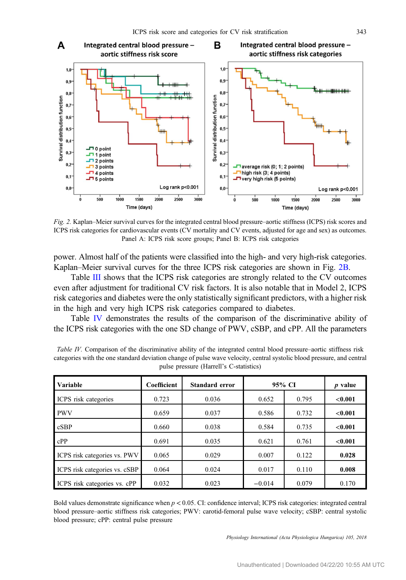<span id="page-8-0"></span>

Fig. 2. Kaplan–Meier survival curves for the integrated central blood pressure–aortic stiffness (ICPS) risk scores and ICPS risk categories for cardiovascular events (CV mortality and CV events, adjusted for age and sex) as outcomes. Panel A: ICPS risk score groups; Panel B: ICPS risk categories

power. Almost half of the patients were classified into the high- and very high-risk categories. Kaplan–Meier survival curves for the three ICPS risk categories are shown in Fig. 2B.

Table [III](#page-7-0) shows that the ICPS risk categories are strongly related to the CV outcomes even after adjustment for traditional CV risk factors. It is also notable that in Model 2, ICPS risk categories and diabetes were the only statistically significant predictors, with a higher risk in the high and very high ICPS risk categories compared to diabetes.

Table IV demonstrates the results of the comparison of the discriminative ability of the ICPS risk categories with the one SD change of PWV, cSBP, and cPP. All the parameters

| <b>Variable</b>               | Coefficient | Standard error | 95% CI   |       | <i>p</i> value |
|-------------------------------|-------------|----------------|----------|-------|----------------|
| ICPS risk categories          | 0.723       | 0.036          | 0.652    | 0.795 | ${<}0.001$     |
| <b>PWV</b>                    | 0.659       | 0.037          | 0.586    | 0.732 | ${<}0.001$     |
| cSBP                          | 0.660       | 0.038          | 0.584    | 0.735 | ${<}0.001$     |
| cPP                           | 0.691       | 0.035          | 0.621    | 0.761 | < 0.001        |
| ICPS risk categories vs. PWV  | 0.065       | 0.029          | 0.007    | 0.122 | 0.028          |
| ICPS risk categories vs. cSBP | 0.064       | 0.024          | 0.017    | 0.110 | 0.008          |
| ICPS risk categories vs. cPP  | 0.032       | 0.023          | $-0.014$ | 0.079 | 0.170          |

Table IV. Comparison of the discriminative ability of the integrated central blood pressure–aortic stiffness risk categories with the one standard deviation change of pulse wave velocity, central systolic blood pressure, and central pulse pressure (Harrell's C-statistics)

Bold values demonstrate significance when  $p < 0.05$ . CI: confidence interval; ICPS risk categories: integrated central blood pressure–aortic stiffness risk categories; PWV: carotid-femoral pulse wave velocity; cSBP: central systolic blood pressure; cPP: central pulse pressure

Physiology International (Acta Physiologica Hungarica) 105, 2018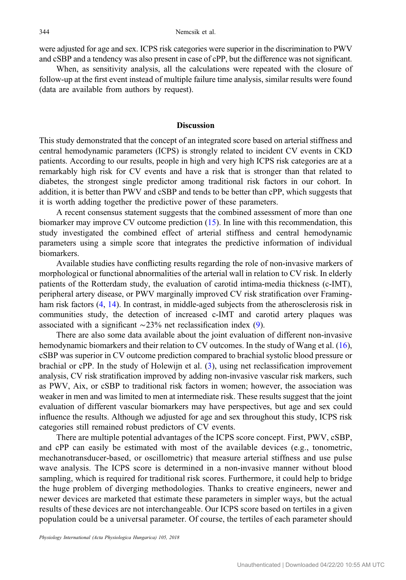were adjusted for age and sex. ICPS risk categories were superior in the discrimination to PWV and cSBP and a tendency was also present in case of cPP, but the difference was not significant.

When, as sensitivity analysis, all the calculations were repeated with the closure of follow-up at the first event instead of multiple failure time analysis, similar results were found (data are available from authors by request).

#### **Discussion**

This study demonstrated that the concept of an integrated score based on arterial stiffness and central hemodynamic parameters (ICPS) is strongly related to incident CV events in CKD patients. According to our results, people in high and very high ICPS risk categories are at a remarkably high risk for CV events and have a risk that is stronger than that related to diabetes, the strongest single predictor among traditional risk factors in our cohort. In addition, it is better than PWV and cSBP and tends to be better than cPP, which suggests that it is worth adding together the predictive power of these parameters.

A recent consensus statement suggests that the combined assessment of more than one biomarker may improve CV outcome prediction ([15\)](#page-11-0). In line with this recommendation, this study investigated the combined effect of arterial stiffness and central hemodynamic parameters using a simple score that integrates the predictive information of individual biomarkers.

Available studies have conflicting results regarding the role of non-invasive markers of morphological or functional abnormalities of the arterial wall in relation to CV risk. In elderly patients of the Rotterdam study, the evaluation of carotid intima-media thickness (c-IMT), peripheral artery disease, or PWV marginally improved CV risk stratification over Framingham risk factors [\(4](#page-11-0), [14](#page-11-0)). In contrast, in middle-aged subjects from the atherosclerosis risk in communities study, the detection of increased c-IMT and carotid artery plaques was associated with a significant ∼23% net reclassification index [\(9](#page-11-0)).

There are also some data available about the joint evaluation of different non-invasive hemodynamic biomarkers and their relation to CV outcomes. In the study of Wang et al. [\(16](#page-11-0)), cSBP was superior in CV outcome prediction compared to brachial systolic blood pressure or brachial or cPP. In the study of Holewijn et al. [\(3](#page-10-0)), using net reclassification improvement analysis, CV risk stratification improved by adding non-invasive vascular risk markers, such as PWV, Aix, or cSBP to traditional risk factors in women; however, the association was weaker in men and was limited to men at intermediate risk. These results suggest that the joint evaluation of different vascular biomarkers may have perspectives, but age and sex could influence the results. Although we adjusted for age and sex throughout this study, ICPS risk categories still remained robust predictors of CV events.

There are multiple potential advantages of the ICPS score concept. First, PWV, cSBP, and cPP can easily be estimated with most of the available devices (e.g., tonometric, mechanotransducer-based, or oscillometric) that measure arterial stiffness and use pulse wave analysis. The ICPS score is determined in a non-invasive manner without blood sampling, which is required for traditional risk scores. Furthermore, it could help to bridge the huge problem of diverging methodologies. Thanks to creative engineers, newer and newer devices are marketed that estimate these parameters in simpler ways, but the actual results of these devices are not interchangeable. Our ICPS score based on tertiles in a given population could be a universal parameter. Of course, the tertiles of each parameter should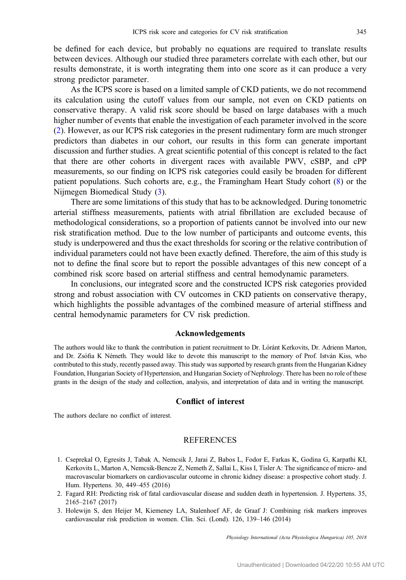<span id="page-10-0"></span>be defined for each device, but probably no equations are required to translate results between devices. Although our studied three parameters correlate with each other, but our results demonstrate, it is worth integrating them into one score as it can produce a very strong predictor parameter.

As the ICPS score is based on a limited sample of CKD patients, we do not recommend its calculation using the cutoff values from our sample, not even on CKD patients on conservative therapy. A valid risk score should be based on large databases with a much higher number of events that enable the investigation of each parameter involved in the score (2). However, as our ICPS risk categories in the present rudimentary form are much stronger predictors than diabetes in our cohort, our results in this form can generate important discussion and further studies. A great scientific potential of this concept is related to the fact that there are other cohorts in divergent races with available PWV, cSBP, and cPP measurements, so our finding on ICPS risk categories could easily be broaden for different patient populations. Such cohorts are, e.g., the Framingham Heart Study cohort [\(8](#page-11-0)) or the Nijmegen Biomedical Study (3).

There are some limitations of this study that has to be acknowledged. During tonometric arterial stiffness measurements, patients with atrial fibrillation are excluded because of methodological considerations, so a proportion of patients cannot be involved into our new risk stratification method. Due to the low number of participants and outcome events, this study is underpowered and thus the exact thresholds for scoring or the relative contribution of individual parameters could not have been exactly defined. Therefore, the aim of this study is not to define the final score but to report the possible advantages of this new concept of a combined risk score based on arterial stiffness and central hemodynamic parameters.

In conclusions, our integrated score and the constructed ICPS risk categories provided strong and robust association with CV outcomes in CKD patients on conservative therapy, which highlights the possible advantages of the combined measure of arterial stiffness and central hemodynamic parameters for CV risk prediction.

#### Acknowledgements

The authors would like to thank the contribution in patient recruitment to Dr. Lóránt Kerkovits, Dr. Adrienn Marton, and Dr. Zs´ofia K Németh. They would like to devote this manuscript to the memory of Prof. István Kiss, who contributed to this study, recently passed away. This study was supported by research grants from the Hungarian Kidney Foundation, Hungarian Society of Hypertension, and Hungarian Society of Nephrology. There has been no role of these grants in the design of the study and collection, analysis, and interpretation of data and in writing the manuscript.

# Conflict of interest

The authors declare no conflict of interest.

#### REFERENCES

- 1. Cseprekal O, Egresits J, Tabak A, Nemcsik J, Jarai Z, Babos L, Fodor E, Farkas K, Godina G, Karpathi KI, Kerkovits L, Marton A, Nemcsik-Bencze Z, Nemeth Z, Sallai L, Kiss I, Tisler A: The significance of micro- and macrovascular biomarkers on cardiovascular outcome in chronic kidney disease: a prospective cohort study. J. Hum. Hypertens. 30, 449–455 (2016)
- 2. Fagard RH: Predicting risk of fatal cardiovascular disease and sudden death in hypertension. J. Hypertens. 35, 2165–2167 (2017)
- 3. Holewijn S, den Heijer M, Kiemeney LA, Stalenhoef AF, de Graaf J: Combining risk markers improves cardiovascular risk prediction in women. Clin. Sci. (Lond). 126, 139–146 (2014)

Physiology International (Acta Physiologica Hungarica) 105, 2018